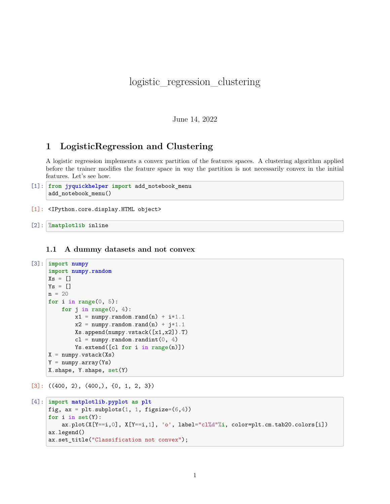# logistic\_regression\_clustering

June 14, 2022

## **1 LogisticRegression and Clustering**

A logistic regression implements a convex partition of the features spaces. A clustering algorithm applied before the trainer modifies the feature space in way the partition is not necessarily convex in the initial features. Let's see how.

```
[1]: from jyquickhelper import add_notebook_menu
     add_notebook_menu()
```
[1]: <IPython.core.display.HTML object>

[2]: %**matplotlib** inline

#### **1.1 A dummy datasets and not convex**

```
[3]: import numpy
     import numpy.random
     Xs = []Ys = \lceiln = 20for i in range(0, 5):
          for j in range(0, 4):
               x1 = \text{numpy.random.randn}(n) + i*1.1x2 = \text{numpy.random.randn}(n) + j*1.1Xs.append(numpy.vstack([x1,x2]).T)
               cl = \text{numpy.random.randn} (0, 4)
               Ys.extend([cl for i in range(n)])
     X = \text{numpy}.\text{vstack}(Xs)Y = \text{numpy}.\text{array}(Ys)X.shape, Y.shape, set(Y)
```
 $[3]$ : ((400, 2), (400,), {0, 1, 2, 3})

```
[4]: import matplotlib.pyplot as plt
     fig, ax = plt.subplots(1, 1, figsize=(6, 4))for i in set(Y):
         ax.plot(X[Y==i,0], X[Y==i,1], 'o', label="cl%d"%i, color=plt.cm.tab20.colors[i])
     ax.legend()
     ax.set_title("Classification not convex");
```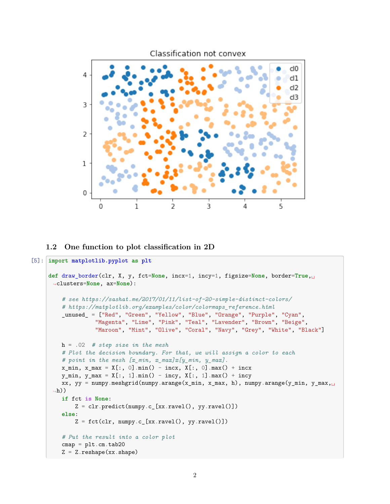

#### **1.2 One function to plot classification in 2D**

```
[5]: import matplotlib.pyplot as plt
     def draw_border(clr, X, y, fct=None, incx=1, incy=1, figsize=None, border=True,␣
      ↪clusters=None, ax=None):
         # see https://sashat.me/2017/01/11/list-of-20-simple-distinct-colors/
         # https://matplotlib.org/examples/color/colormaps_reference.html
         _unused_ = ["Red", "Green", "Yellow", "Blue", "Orange", "Purple", "Cyan",
                   "Magenta", "Lime", "Pink", "Teal", "Lavender", "Brown", "Beige",
                   "Maroon", "Mint", "Olive", "Coral", "Navy", "Grey", "White", "Black"]
         h = .02 # step size in the mesh
         # Plot the decision boundary. For that, we will assign a color to each
         # point in the mesh [x_min, x_max]x[y_min, y_max].
         x_{min}, x_{max} = X[:, 0].min() - incx, X[:, 0].max() + incxy_{min}, y_{max} = X[:, 1] . min() - incy, X[:, 1] . max() + incyxx, yy = numpy.meshgrid(numpy.arange(x_min, x_max, h), numpy.arange(y_min, y_max,
      \leftrightarrowh))
         if fct is None:
             Z = \text{clr.predict(numpy.c_{x.ravel(), yy.ravel()})else:
             Z = fct(clr, numpy.c[xx.ravel(), yy.ravel()])# Put the result into a color plot
         cmap = plt.cm.tab20Z = Z.\nreshape(xx.\nshape)
```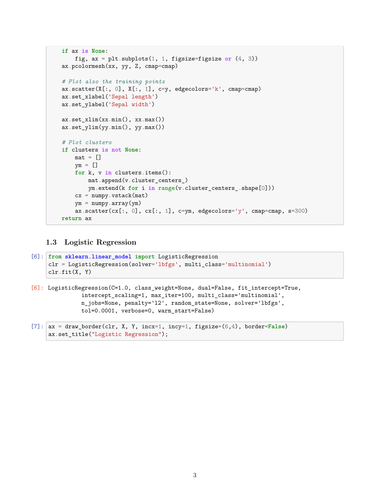```
if ax is None:
    fig, ax = plt.subplots(1, 1, figsize=figsize or (4, 3))
ax.pcolormesh(xx, yy, Z, cmap=cmap)
# Plot also the training points
ax.scatter(X[:, 0], X[:, 1], c=y, edgecolors='k', cmap=cmap)
ax.set_xlabel('Sepal length')
ax.set_ylabel('Sepal width')
ax.set_xlim(xx.min(), xx.max())
ax.set_ylim(yy.min(), yy.max())
# Plot clusters
if clusters is not None:
    mat = []ym = []for k, v in clusters.items():
        mat.append(v.cluster_centers_)
        ym.extend(k for i in range(v.cluster_centers_.shape[0]))
    cx = \text{number}.\text{vstack}(\text{mat})ym = numpy.array(ym)
    ax.\text{scatter}(cx[:, 0], cx[:, 1], c=ym, edgecolors='y', canep=cmp, s=300)return ax
```
## **1.3 Logistic Regression**

```
[6]: from sklearn.linear_model import LogisticRegression
     clr = LogisticRegression(solver='lbfgs', multi_class='multinomial')
     clr.fit(X, Y)
```

```
[6]: LogisticRegression(C=1.0, class_weight=None, dual=False, fit_intercept=True,
               intercept scaling=1, max iter=100, multi class='multinomial',
               n_jobs=None, penalty='l2', random_state=None, solver='lbfgs',
               tol=0.0001, verbose=0, warm_start=False)
```

```
[7]: ax = draw_border(clr, X, Y, incx=1, incy=1, figsize=(6,4), border=False)
     ax.set title("Logistic Regression");
```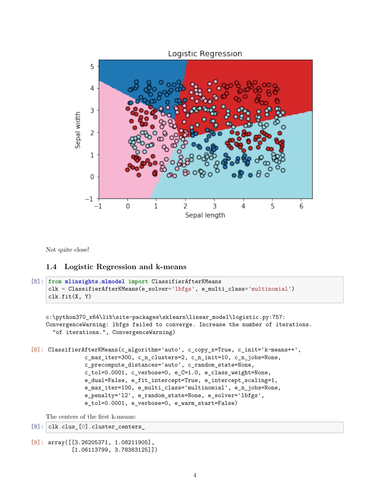

Not quite close!

### **1.4 Logistic Regression and k-means**

```
[8]: from mlinsights.mlmodel import ClassifierAfterKMeans
     clk = ClassifierAfterKMeans(e_solver='lbfgs', e_multi_class='multinomial')
     clk.fit(X, Y)
```

```
c:\python370_x64\lib\site-packages\sklearn\linear_model\logistic.py:757:
ConvergenceWarning: lbfgs failed to converge. Increase the number of iterations.
  "of iterations.", ConvergenceWarning)
```

```
[8]: ClassifierAfterKMeans(c_algorithm='auto', c_copy_x=True, c_init='k-means++',
                c_max_iter=300, c_n_clusters=2, c_n_init=10, c_n_jobs=None,
                c_precompute_distances='auto', c_random_state=None,
                c_tol=0.0001, c_verbose=0, e_C=1.0, e_class_weight=None,
                e_dual=False, e_fit_intercept=True, e_intercept_scaling=1,
                e_max_iter=100, e_multi_class='multinomial', e_n_jobs=None,
                e_penalty='l2', e_random_state=None, e_solver='lbfgs',
                e_tol=0.0001, e_verbose=0, e_warm_start=False)
```
The centers of the first k-means:

```
[9]: clk.clus_[0].cluster_centers_
```

```
[9]: array([[3.26205371, 1.08211905],
            [1.06113799, 3.78383125]])
```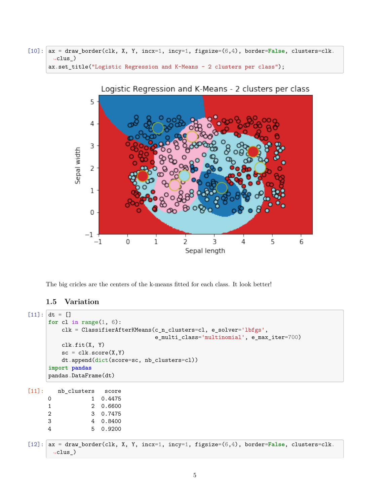[10]: ax = draw\_border(clk, X, Y, incx=1, incy=1, figsize=(6,4), border=**False**, clusters=clk.  $\leftarrow$ clus\_) ax.set\_title("Logistic Regression and K-Means - 2 clusters per class");



The big cricles are the centers of the k-means fitted for each class. It look better!

## **1.5 Variation**

```
[11]: dt = []for cl in range(1, 6):
         clk = ClassifierAfterKMeans(c_n_clusters=cl, e_solver='lbfgs',
                                  e multi class='multinomial', e max iter=700)
         clk.fit(X, Y)
         sc = clk.score(X, Y)dt.append(dict(score=sc, nb_clusters=cl))
     import pandas
     pandas.DataFrame(dt)
[11]: nb_clusters score
     0 1 0.4475
     1 2 0.6600
     2 3 0.7475
     3 4 0.8400
     4 5 0.9200
[12]: ax = draw_border(clk, X, Y, incx=1, incy=1, figsize=(6,4), border=False, clusters=clk.
      \leftarrowclus_)
```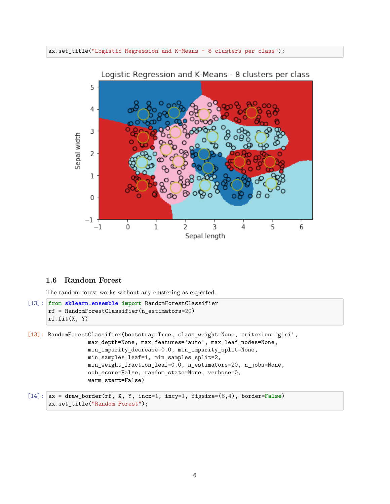#### ax.set\_title("Logistic Regression and K-Means - 8 clusters per class");



#### **1.6 Random Forest**

The random forest works without any clustering as expected.

```
[13]: from sklearn.ensemble import RandomForestClassifier
      rf = RandomForestClassifier(n_estimators=20)
      rf.fit(X, Y)
```

```
[13]: RandomForestClassifier(bootstrap=True, class_weight=None, criterion='gini',
                  max_depth=None, max_features='auto', max_leaf_nodes=None,
                  min_impurity_decrease=0.0, min_impurity_split=None,
                  min_samples_leaf=1, min_samples_split=2,
                  min_weight_fraction_leaf=0.0, n_estimators=20, n_jobs=None,
                  oob_score=False, random_state=None, verbose=0,
                  warm_start=False)
```

```
[14]: ax = draw_border(rf, X, Y, incx=1, incy=1, figsize=(6,4), border=False)
      ax.set_title("Random Forest");
```